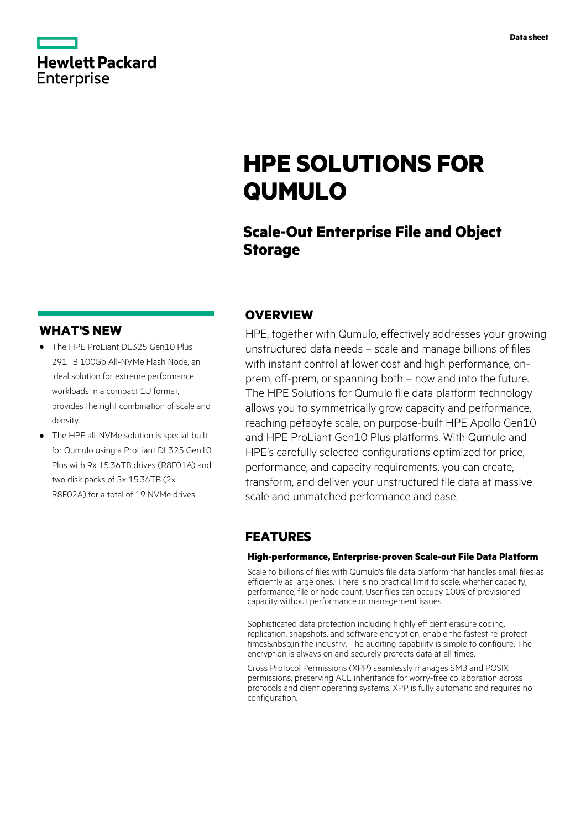|                   | <b>Hewlett Packard</b> |
|-------------------|------------------------|
| <b>Enterprise</b> |                        |

# **HPE SOLUTIONS FOR QUMULO**

### **Scale-Out Enterprise File and Object Storage**

### **WHAT'S NEW**

- **·** The HPE ProLiant DL325 Gen10 Plus 291TB 100Gb All-NVMe Flash Node, an ideal solution for extreme performance workloads in a compact 1U format, provides the right combination of scale and density.
- **·** The HPE all-NVMe solution is special-built for Qumulo using a ProLiant DL325 Gen10 Plus with 9x 15.36TB drives (R8F01A) and two disk packs of 5x 15.36TB (2x R8F02A) for a total of 19 NVMe drives.

### **OVERVIEW**

HPE, together with Qumulo, effectively addresses your growing unstructured data needs – scale and manage billions of files with instant control at lower cost and high performance, onprem, off-prem, or spanning both – now and into the future. The HPE Solutions for Qumulo file data platform technology allows you to symmetrically grow capacity and performance, reaching petabyte scale, on purpose-built HPE Apollo Gen10 and HPE ProLiant Gen10 Plus platforms. With Qumulo and HPE's carefully selected configurations optimized for price, performance, and capacity requirements, you can create, transform, and deliver your unstructured file data at massive scale and unmatched performance and ease.

### **FEATURES**

#### **High-performance, Enterprise-proven Scale-out File Data Platform**

Scale to billions of files with Qumulo's file data platform that handles small files as efficiently as large ones. There is no practical limit to scale, whether capacity, performance, file or node count. User files can occupy 100% of provisioned capacity without performance or management issues.

Sophisticated data protection including highly efficient erasure coding, replication, snapshots, and software encryption, enable the fastest re-protect times & nbsp:in the industry. The auditing capability is simple to configure. The encryption is always on and securely protects data at all times.

Cross Protocol Permissions (XPP) seamlessly manages SMB and POSIX permissions, preserving ACL inheritance for worry-free collaboration across protocols and client operating systems. XPP is fully automatic and requires no configuration.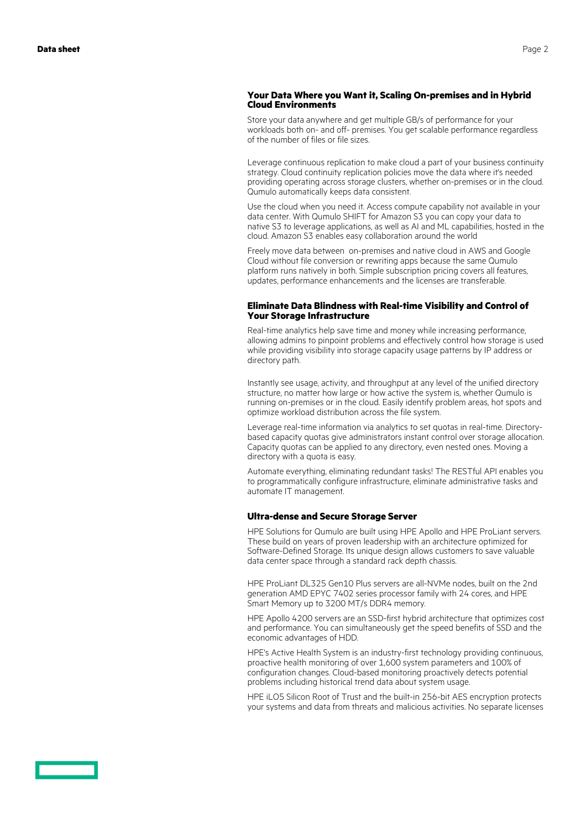#### **Your Data Where you Want it, Scaling On-premises and in Hybrid Cloud Environments**

Store your data anywhere and get multiple GB/s of performance for your workloads both on- and off- premises. You get scalable performance regardless of the number of files or file sizes.

Leverage continuous replication to make cloud a part of your business continuity strategy. Cloud continuity replication policies move the data where it's needed providing operating across storage clusters, whether on-premises or in the cloud. Qumulo automatically keeps data consistent.

Use the cloud when you need it. Access compute capability not available in your data center. With Qumulo SHIFT for Amazon S3 you can copy your data to native S3 to leverage applications, as well as AI and ML capabilities, hosted in the cloud. Amazon S3 enables easy collaboration around the world

Freely move data between on-premises and native cloud in AWS and Google Cloud without file conversion or rewriting apps because the same Qumulo platform runs natively in both. Simple subscription pricing covers all features, updates, performance enhancements and the licenses are transferable.

#### **Eliminate Data Blindness with Real-time Visibility and Control of Your Storage Infrastructure**

Real-time analytics help save time and money while increasing performance, allowing admins to pinpoint problems and effectively control how storage is used while providing visibility into storage capacity usage patterns by IP address or directory path.

Instantly see usage, activity, and throughput at any level of the unified directory structure, no matter how large or how active the system is, whether Qumulo is running on-premises or in the cloud. Easily identify problem areas, hot spots and optimize workload distribution across the file system.

Leverage real-time information via analytics to set quotas in real-time. Directorybased capacity quotas give administrators instant control over storage allocation. Capacity quotas can be applied to any directory, even nested ones. Moving a directory with a quota is easy.

Automate everything, eliminating redundant tasks! The RESTful API enables you to programmatically configure infrastructure, eliminate administrative tasks and automate IT management.

#### **Ultra-dense and Secure Storage Server**

HPE Solutions for Qumulo are built using HPE Apollo and HPE ProLiant servers. These build on years of proven leadership with an architecture optimized for Software-Defined Storage. Its unique design allows customers to save valuable data center space through a standard rack depth chassis.

HPE ProLiant DL325 Gen10 Plus servers are all-NVMe nodes, built on the 2nd generation AMD EPYC 7402 series processor family with 24 cores, and HPE Smart Memory up to 3200 MT/s DDR4 memory.

HPE Apollo 4200 servers are an SSD-first hybrid architecture that optimizes cost and performance. You can simultaneously get the speed benefits of SSD and the economic advantages of HDD.

HPE's Active Health System is an industry-first technology providing continuous, proactive health monitoring of over 1,600 system parameters and 100% of configuration changes. Cloud-based monitoring proactively detects potential problems including historical trend data about system usage.

HPE iLO5 Silicon Root of Trust and the built-in 256-bit AES encryption protects your systems and data from threats and malicious activities. No separate licenses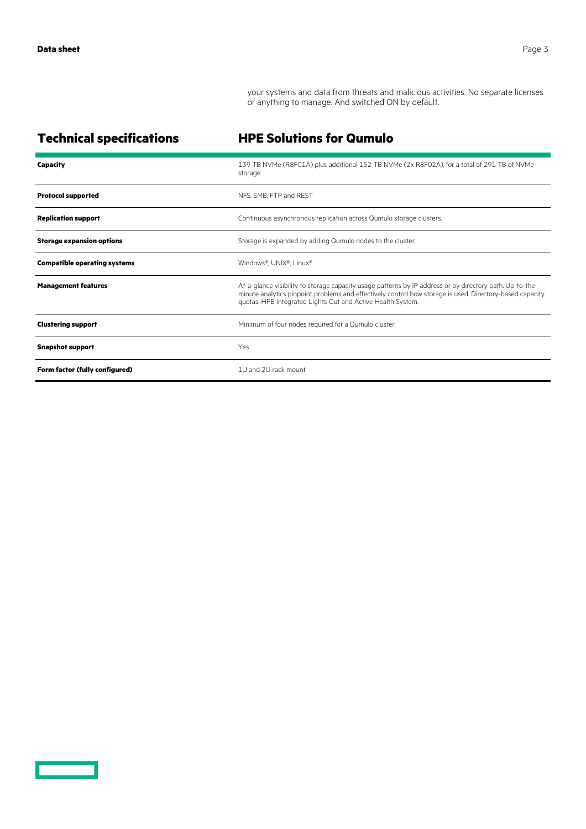<u>and the second</u>

your systems and data from threats and malicious activities. No separate licenses or anything to manage. And switched ON by default.

**Technical specifications HPE Solutions for Qumulo**

| <b>Capacity</b>                     | 139 TB NVMe (R8F01A) plus additional 152 TB NVMe (2x R8F02A), for a total of 291 TB of NVMe<br>storage                                                                                                                                                                              |
|-------------------------------------|-------------------------------------------------------------------------------------------------------------------------------------------------------------------------------------------------------------------------------------------------------------------------------------|
| <b>Protocol supported</b>           | NFS, SMB, FTP and REST                                                                                                                                                                                                                                                              |
| <b>Replication support</b>          | Continuous asynchronous replication across Qumulo storage clusters.                                                                                                                                                                                                                 |
| <b>Storage expansion options</b>    | Storage is expanded by adding Qumulo nodes to the cluster.                                                                                                                                                                                                                          |
| <b>Compatible operating systems</b> | Windows®, UNIX®, Linux®                                                                                                                                                                                                                                                             |
| <b>Management features</b>          | At-a-glance visibility to storage capacity usage patterns by IP address or by directory path. Up-to-the-<br>minute analytics pinpoint problems and effectively control how storage is used. Directory-based capacity<br>quotas. HPE Integrated Lights Out and Active Health System. |
| <b>Clustering support</b>           | Minimum of four nodes required for a Qumulo cluster.                                                                                                                                                                                                                                |
| <b>Snapshot support</b>             | Yes                                                                                                                                                                                                                                                                                 |
| Form factor (fully configured)      | 1U and 2U rack mount                                                                                                                                                                                                                                                                |